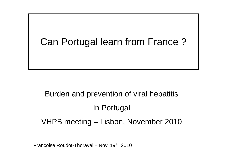## Can Portugal learn from France ?

# Burden and prevention of viral hepatitis In Portugal VHPB meeting – Lisbon, November 2010

Françoise Roudot-Thoraval – Nov. 19th, 2010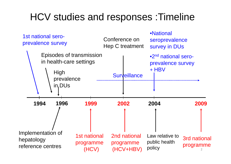## HCV studies and responses :Timeline

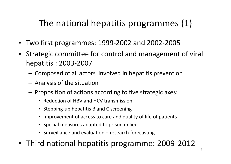## The national hepatitis programmes (1)

- •Two first programmes: 1999‐2002 and 2002‐2005
- Strategic committee for control and management of viral hepatitis : 2003‐2007
	- $-$  Composed of all actors involved in hepatitis prevention
	- $-$  Analysis of the situation
	- – $-$  Proposition of actions according to five strategic axes:
		- Reduction of HBV and HCV transmission
		- Stepping‐up hepatitis B and C screening
		- Improvement of access to care and quality of life of patients
		- Special measures adapted to prison milieu
		- Surveillance and evaluation research forecasting
- Third national hepatitis programme: 2009‐2012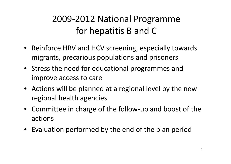## 2009‐2012 National Programme for hepatitis B and C

- Reinforce HBV and HCV screening, especially towards migrants, precarious populations and prisoners
- Stress the need for educational programmes and improve access to care
- Actions will be planned at <sup>a</sup> regional level by the new regional health agencies
- Committee in charge of the follow‐up and boost of the actions
- Evaluation performed by the end of the plan period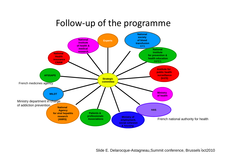#### Follow‐up of the programme



Slide E. Delarocque-Astagneau, Summit conference, Brussels oct2010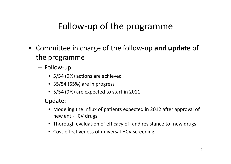## Follow‐up of the programme

- Committee in charge of the follow‐up **and update** of the programme
	- Follow‐up:
		- 5/54 (9%) actions are achieved
		- 35/54 (65%) are in progress
		- 5/54 (9%) are expected to start in 2011
	- Update:
		- Modeling the influx of patients expected in 2012 after approval of new anti‐HCV drugs
		- Thorough evaluation of efficacy of‐ and resistance to‐ new drugs
		- Cost-effectiveness of universal HCV screening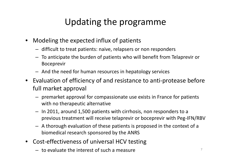## Updating the programme

- • Modeling the expected influx of patients
	- difficult to treat patients: naive, relapsers or non responders
	- To anticipate the burden of patients who will benefit from Telaprevir or Boceprevir
	- And the need for human resources in hepatology services
- Evaluation of efficiency of and resistance to anti‐protease before full market approval
	- premarket approval for compassionate use exists in France for patients with no therapeutic alternative
	- In 2011, around 1,500 patients with cirrhosis, non responders to <sup>a</sup> previous treatment will receive telaprevir or boceprevir with Peg‐IFN/RBV
	- A thorough evaluation of these patients is proposed in the context of <sup>a</sup> biomedical research sponsored by the ANRS
- •● Cost-effectiveness of universal HCV testing
	- $-$  to evaluate the interest of such a measure  $7$